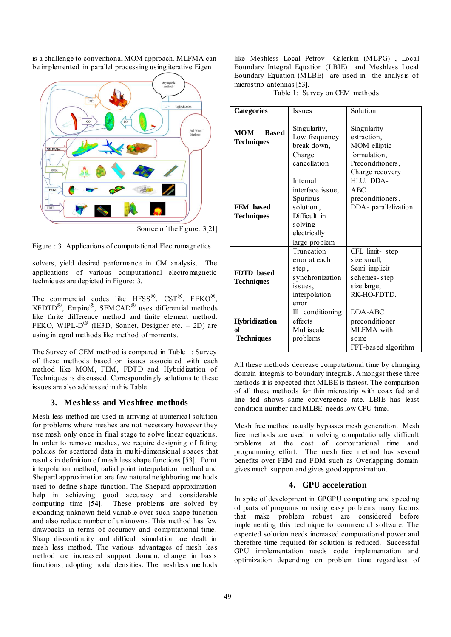is a challenge to conventional MOM approach. MLFMA can be implemented in parallel processing using iterative Eigen



Source of the Figure: 3[21]

Figure : 3. Applications of computational Electromagnetics

solvers, yield desired performance in CM analysis. The applications of various computational electromagnetic techniques are depicted in Figure: 3.

The commercial codes like HFSS®, CST®, FEKO®,  $XFDTD^{\circledR}$ , Empire  $^{\circledR}$ , SEMCAD<sup> $^{\circledR}$ </sup> uses differential methods like finite difference method and finite element method. FEKO, WIPL- $D^{\circledR}$  (IE3D, Sonnet, Designer etc. – 2D) are using integral methods like method of moments.

The Survey of CEM method is compared in Table 1: Survey of these methods based on issues associated with each method like MOM, FEM, FDTD and Hybridization of Techniques is discussed. Correspondingly solutions to these issues are also addressed in this Table.

# **3. Meshless and Meshfree methods**

Mesh less method are used in arriving at numerical solution for problems where meshes are not necessary however they use mesh only once in final stage to solve linear equations. In order to remove meshes, we require designing of fitting policies for scattered data in multi-dimensional spaces that results in definition of mesh less shape functions [53]. Point interpolation method, radial point interpolation method and Shepard approximation are few natural neighboring methods used to define shape function. The Shepard approximation help in achieving good accuracy and considerable<br>computing time [54]. These problems are solved by These problems are solved by expanding unknown field variable over such shape function and also reduce number of unknowns. This method has few drawbacks in terms of accuracy and computational time. Sharp discontinuity and difficult simulation are dealt in mesh less method. The various advantages of mesh less method are increased support domain, change in basis functions, adopting nodal densities. The meshless methods

like Meshless Local Petrov- Galerkin (MLPG) , Local Boundary Integral Equation (LBIE) and Meshless Local Boundary Equation (MLBE) are used in the analysis of microstrip antennas [53].

Table 1: Survey on CEM methods

| <b>Categories</b>                               | <b>Issues</b>                                                                                                     | Solution                                                                                          |  |
|-------------------------------------------------|-------------------------------------------------------------------------------------------------------------------|---------------------------------------------------------------------------------------------------|--|
| <b>MOM</b><br><b>Based</b><br><b>Techniques</b> | Singularity,<br>Low frequency<br>break down,<br>Charge<br>cancellation                                            | Singularity<br>extraction,<br>MOM elliptic<br>formulation.<br>Preconditioners,<br>Charge recovery |  |
| FEM based<br><b>Techniques</b>                  | Internal<br>interface issue,<br>Spurious<br>solution,<br>Difficult in<br>solving<br>electrically<br>large problem | HLU, DDA-<br>ABC<br>preconditioners.<br>DDA- parallelization.                                     |  |
| FDTD based<br><b>Techniques</b>                 | Truncation<br>error at each<br>step,<br>synchronization<br>issues,<br>interpolation<br>error                      | CFL limit-step<br>size small,<br>Semi implicit<br>schemes-step<br>size large,<br>RK-HO-FDTD.      |  |
| <b>Hybridization</b><br>of<br><b>Techniques</b> | Ill conditioning<br>effects<br>Multiscale<br>problems                                                             | DDA-ABC<br>preconditioner<br>MLFMA with<br>some<br>FFT-based algorithm                            |  |

All these methods decrease computational time by changing domain integrals to boundary integrals. Amongst these three methods it is expected that MLBE is fastest. The comparison of all these methods for thin microstrip with coax fed and line fed shows same convergence rate. LBIE has least condition number and MLBE needs low CPU time.

Mesh free method usually bypasses mesh generation. Mesh free methods are used in solving computationally difficult problems at the cost of computational time and programming effort. The mesh free method has several benefits over FEM and FDM such as Overlapping domain gives much support and gives good approximation.

# **4. GPU acceleration**

In spite of development in GPGPU computing and speeding of parts of programs or using easy problems many factors that make problem robust are considered before implementing this technique to commercial software. The expected solution needs increased computational power and therefore time required for solution is reduced. Successful GPU implementation needs code implementation and optimization depending on problem time regardless of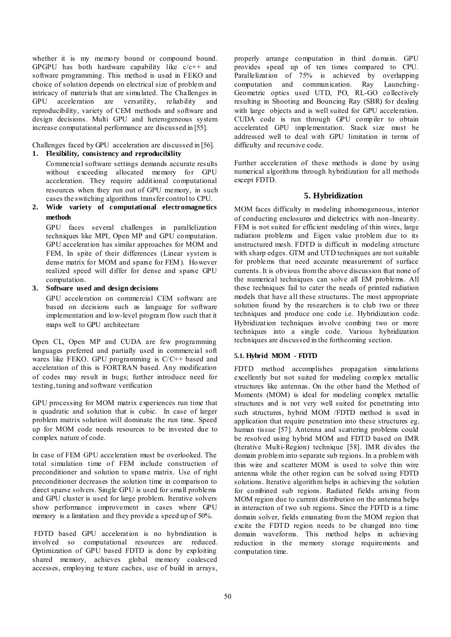whether it is my memory bound or compound bound. GPGPU has both hardware capability like c/c++ and software programming. This method is used in FEKO and choice of solution depends on electrical size of problem and intricacy of materials that are simulated. The Challenges in GPU acceleration are versatility, reliability and reproducibility, variety of CEM methods and software and design decisions. Multi GPU and heterogeneous system increase computational performance are discussed in [55].

Challenges faced by GPU acceleration are discussed in [56].

# **1. Flexibility, consistency and reproducibility**

Commercial software settings demands accurate results without exceeding allocated memory for GPU acceleration. They require additional computational resources when they run out of GPU memory, in such cases the switching algorithms transfer control to CPU.

**2. Wide variety of computational electromagnetics methods** 

GPU faces several challenges in parallelization techniques like MPI, Open MP and GPU computation. GPU acceleration has similar approaches for MOM and FEM, In spite of their differences (Linear system is dense matrix for MOM and sparse for FEM). However realized speed will differ for dense and sparse GPU computation.

#### **3. Software used and design decisions**

GPU acceleration on commercial CEM software are based on decisions such as language for software implementation and low-level program flow such that it maps well to GPU architecture

Open CL, Open MP and CUDA are few programming languages preferred and partially used in commercial soft wares like FEKO. GPU programming is C/C++ based and acceleration of this is FORTRAN based. Any modification of codes may result in bugs; further introduce need for testing, tuning and software verification

GPU processing for MOM matrix experiences run time that is quadratic and solution that is cubic. In case of larger problem matrix solution will dominate the run time. Speed up for MOM code needs resources to be invested due to complex nature of code.

In case of FEM GPU acceleration must be overlooked. The total simulation time of FEM include construction of preconditioner and solution to sparse matrix. Use of right preconditioner decreases the solution time in comparison to direct sparse solvers. Single GPU is used for small problems and GPU cluster is used for large problem. Iterative solvers show performance improvement in cases where GPU memory is a limitation and they provide a speed up of 50%.

 FDTD based GPU acceleration is no hybridization is involved so computational resources are reduced. Optimization of GPU based FDTD is done by exploiting shared memory, achieves global memory coalesced accesses, employing texture caches, use of build in arrays,

properly arrange computation in third domain. GPU provides speed up of ten times compared to CPU. Parallelization of 75% is achieved by overlapping computation and communication. Ray Launching-Geometric optics used UTD, PO, RL-GO collectively resulting in Shooting and Bouncing Ray (SBR) for dealing with large objects and is well suited for GPU acceleration. CUDA code is run through GPU compiler to obtain accelerated GPU implementation. Stack size must be addressed well to deal with GPU limitation in terms of difficulty and recursive code.

Further acceleration of these methods is done by using numerical algorithms through hybridization for all methods except FDTD.

#### **5. Hybridization**

MOM faces difficulty in modeling inhomogeneous, interior of conducting enclosures and dielectrics with non-linearity. FEM is not suited for efficient modeling of thin wires, large radiation problems and Eigen value problem due to its unstructured mesh. FDTD is difficult in modeling structure with sharp edges. GTM and UTD techniques are not suitable for problems that need accurate measurement of surface currents. It is obvious from the above discussion that none of the numerical techniques can solve all EM problems. All these techniques fail to cater the needs of printed radiation models that have all these structures. The most appropriate solution found by the researchers is to club two or three techniques and produce one code i.e. Hybridization code. Hybridization techniques involve combing two or more techniques into a single code. Various hybridization techniques are discussed in the forthcoming section.

#### **5.1. Hybrid MOM - FDTD**

FDTD method accomplishes propagation simulations excellently but not suited for modeling complex metallic structures like antennas. On the other hand the Method of Moments (MOM) is ideal for modeling complex metallic structures and is not very well suited for penetrating into such structures, hybrid MOM /FDTD method is used in application that require penetration into these structures eg. human tissue [57]. Antenna and scattering problems could be resolved using hybrid MOM and FDTD based on IMR (Iterative Multi-Region) technique [58]. IMR divides the domain problem into separate sub regions. In a problem with thin wire and scatterer MOM is used to solve thin wire antenna while the other region can be solved using FDTD solutions. Iterative algorithm helps in achieving the solution for combined sub regions. Radiated fields arising from MOM region due to current distribution on the antenna helps in interaction of two sub regions. Since the FDTD is a time domain solver, fields emanating from the MOM region that excite the FDTD region needs to be changed into time domain waveforms. This method helps in achieving reduction in the memory storage requirements and computation time.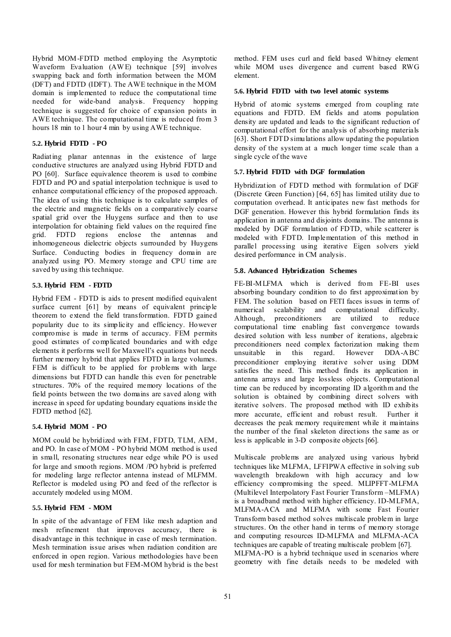Hybrid MOM -FDTD method employing the Asymptotic Waveform Evaluation (AWE) technique [59] involves swapping back and forth information between the MOM (DFT) and FDTD (IDFT). The AWE technique in the MOM domain is implemented to reduce the computational time needed for wide-band analysis. Frequency hopping technique is suggested for choice of expansion points in AWE technique. The computational time is reduced from 3 hours 18 min to 1 hour 4 min by using AWE technique.

### **5.2. Hybrid FDTD - PO**

Radiating planar antennas in the existence of large conductive structures are analyzed using Hybrid FDTD and PO [60]. Surface equivalence theorem is used to combine FDTD and PO and spatial interpolation technique is used to enhance computational efficiency of the proposed approach. The idea of using this technique is to calculate samples of the electric and magnetic fields on a comparatively coarse spatial grid over the Huygens surface and then to use interpolation for obtaining field values on the required fine<br>grid. FDTD regions enclose the antennas and regions enclose the antennas and inhomogeneous dielectric objects surrounded by Huygens Surface. Conducting bodies in frequency domain are analyzed using PO. Memory storage and CPU time are saved by using this technique.

# **5.3. Hybrid FEM - FDTD**

Hybrid FEM - FDTD is aids to present modified equivalent surface current [61] by means of equivalent principle theorem to extend the field transformation. FDTD gained popularity due to its simplicity and efficiency. However compromise is made in terms of accuracy. FEM permits good estimates of complicated boundaries and with edge elements it performs well for Maxwell's equations but needs further memory hybrid that applies FDTD in large volumes. FEM is difficult to be applied for problems with large dimensions but FDTD can handle this even for penetrable structures. 70% of the required memory locations of the field points between the two domains are saved along with increase in speed for updating boundary equations inside the FDTD method [62].

#### **5.4. Hybrid MOM - PO**

MOM could be hybridized with FEM, FDTD, TLM, AEM, and PO. In case of MOM - PO hybrid MOM method is used in small, resonating structures near edge while PO is used for large and smooth regions. MOM /PO hybrid is preferred for modeling large reflector antenna instead of MLFMM. Reflector is modeled using PO and feed of the reflector is accurately modeled using MOM.

#### **5.5. Hybrid FEM - MOM**

In spite of the advantage of FEM like mesh adaption and mesh refinement that improves accuracy, there is disadvantage in this technique in case of mesh termination. Mesh termination issue arises when radiation condition are enforced in open region. Various methodologies have been used for mesh termination but FEM-MOM hybrid is the best

method. FEM uses curl and field based Whitney element while MOM uses divergence and current based RWG element.

#### **5.6. Hybrid FDTD with two level atomic systems**

Hybrid of atomic systems emerged from coupling rate equations and FDTD. EM fields and atoms population density are updated and leads to the significant reduction of computational effort for the analysis of absorbing materials [63]. Short FDTD simulations allow updating the population density of the system at a much longer time scale than a single cycle of the wave

### **5.7. Hybrid FDTD with DGF formulation**

Hybridization of FDTD method with formulation of DGF (Discrete Green Function) [64, 65] has limited utility due to computation overhead. It anticipates new fast methods for DGF generation. However this hybrid formulation finds its application in antenna and disjoints domains. The antenna is modeled by DGF formulation of FDTD, while scatterer is modeled with FDTD. Implementation of this method in parallel processing using iterative Eigen solvers yield desired performance in CM analysis.

#### **5.8. Advanced Hybridization Schemes**

FE-BI-MLFMA which is derived from FE-BI uses absorbing boundary condition to do first approximation by FEM. The solution based on FETI faces issues in terms of numerical scalability and computational difficulty. numerical scalability and computational difficulty.<br>Although, preconditioners are utilized to reduce preconditioners are utilized to reduce computational time enabling fast convergence towards desired solution with less number of iterations, algebraic preconditioners need complex factorization making them<br>unsuitable in this regard. However DDA-ABC unsuitable in this regard. However DDA-ABC preconditioner employing iterative solver using DDM satisfies the need. This method finds its application in antenna arrays and large lossless objects. Computational time can be reduced by incorporating ID algorithm and the solution is obtained by combining direct solvers with iterative solvers. The proposed method with ID exhibits more accurate, efficient and robust result. Further it decreases the peak memory requirement while it maintains the number of the final skeleton directions the same as or less is applicable in 3-D composite objects [66].

Multiscale problems are analyzed using various hybrid techniques like MLFMA, LFFIPWA effective in solving sub wavelength breakdown with high accuracy and low efficiency compromising the speed. MLIPFFT-MLFMA (Multilevel Interpolatory Fast Fourier Transform –MLFMA) is a broadband method with higher efficiency. ID-MLFMA, MLFMA-ACA and MLFMA with some Fast Fourier Transform based method solves multiscale problem in large structures. On the other hand in terms of memory storage and computing resources ID-MLFMA and MLFMA-ACA techniques are capable of treating multiscale problem [67]. MLFMA-PO is a hybrid technique used in scenarios where geometry with fine details needs to be modeled with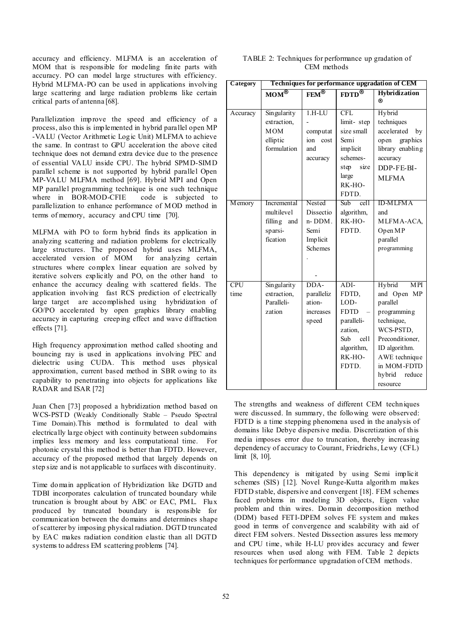accuracy and efficiency. MLFMA is an acceleration of MOM that is responsible for modeling finite parts with accuracy. PO can model large structures with efficiency. Hybrid MLFMA-PO can be used in applications involving large scattering and large radiation problems like certain critical parts of antenna [68].

 Parallelization improve the speed and efficiency of a process, also this is implemented in hybrid parallel open MP -VALU (Vector Arithmetic Logic Unit) MLFMA to achieve the same. In contrast to GPU acceleration the above cited technique does not demand extra device due to the presence of essential VALU inside CPU. The hybrid SPMD-SIMD parallel scheme is not supported by hybrid parallel Open MP-VALU MLFMA method [69]. Hybrid MPI and Open MP parallel programming technique is one such technique<br>where in BOR-MOD-CFIE code is subjected to where in BOR-MOD-CFIE parallelization to enhance performance of MOD method in terms of memory, accuracy and CPU time [70].

MLFMA with PO to form hybrid finds its application in analyzing scattering and radiation problems for electrically large structures. The proposed hybrid uses MLFMA, accelerated version of MOM for analyzing certain accelerated version of MOM structures where complex linear equation are solved by iterative solvers explicitly and PO, on the other hand to enhance the accuracy dealing with scattered fields. The application involving fast RCS prediction of electrically large target are accomplished using hybridization of GO/PO accelerated by open graphics library enabling accuracy in capturing creeping effect and wave diffraction effects [71].

High frequency approximation method called shooting and bouncing ray is used in applications involving PEC and dielectric using CUDA. This method uses physical approximation, current based method in SBR owing to its capability to penetrating into objects for applications like RADAR and ISAR [72]

Juan Chen [73] proposed a hybridization method based on WCS-PSTD (Weakly Conditionally Stable – Pseudo Spectral Time Domain).This method is formulated to deal with electrically large object with continuity between subdomains implies less memory and less computational time. For photonic crystal this method is better than FDTD. However, accuracy of the proposed method that largely depends on step size and is not applicable to surfaces with discontinuity.

Time domain application of Hybridization like DGTD and TDBI incorporates calculation of truncated boundary while truncation is brought about by ABC or EAC, PML. Flux produced by truncated boundary is responsible for communication between the domains and determines shape of scatterer by imposing physical radiation. DGTD truncated by EAC makes radiation condition elastic than all DGTD systems to address EM scattering problems [74].

| TABLE 2: Techniques for performance up gradation of |  |
|-----------------------------------------------------|--|
| CEM methods                                         |  |

| Category           | Techniques for performance upgradation of CEM                       |                                                              |                                                                                                                 |                                                                                                                                                                                               |  |
|--------------------|---------------------------------------------------------------------|--------------------------------------------------------------|-----------------------------------------------------------------------------------------------------------------|-----------------------------------------------------------------------------------------------------------------------------------------------------------------------------------------------|--|
|                    | $\overline{\text{MOM}^{\otimes}}$                                   | FEM®                                                         | $F\overline{DTD}^{\bigcircledR}$                                                                                | <b>Hybridization</b><br>®                                                                                                                                                                     |  |
| Accuracy           | Singularity<br>extraction,<br><b>MOM</b><br>elliptic<br>formulation | $1.H-LU$<br>computat<br>ion<br>cost<br>and<br>accuracy       | CFL<br>limit-step<br>size small<br>Semi<br>implicit<br>schemes-<br>size<br>step<br>large<br>RK-HO-<br>FDTD.     | Hybrid<br>techniques<br>accelerated<br>by<br>graphics<br>open<br>library enabling<br>accuracy<br>DDP-FE-BI-<br><b>MLFMA</b>                                                                   |  |
| <b>M</b> emory     | Incremental<br>multilevel<br>filling<br>and<br>sparsi-<br>fication  | Nested<br>Dissectio<br>n-DDM.<br>Semi<br>Implicit<br>Schemes | <b>Sub</b><br>cell<br>algorithm,<br>RK-HO-<br><b>FDTD</b>                                                       | <b>ID-MLFMA</b><br>and<br>MLFMA-ACA,<br>Open MP<br>parallel<br>programming                                                                                                                    |  |
| <b>CPU</b><br>time | Singularity<br>extraction,<br>Paralleli-<br>zation                  | DDA-<br>paralleliz<br>ation-<br>increases<br>speed           | $ADI-$<br>FDTD,<br>LOD-<br><b>FDTD</b><br>paralleli-<br>zation.<br>Sub<br>cell<br>algorithm,<br>RK-HO-<br>FDTD. | Hybrid<br><b>MPI</b><br>and Open MP<br>parallel<br>programming<br>technique,<br>WCS-PSTD,<br>Preconditioner,<br>ID algorithm.<br>AWE technique<br>in MOM-FDTD<br>reduce<br>hybrid<br>resource |  |

The strengths and weakness of different CEM techniques were discussed. In summary, the following were observed: FDTD is a time stepping phenomena used in the analysis of domains like Debye dispersive media. Discretization of this media imposes error due to truncation, thereby increasing dependency of accuracy to Courant, Friedrichs, Lewy (CFL) limit [8, 10].

This dependency is mitigated by using Semi implicit schemes (SIS) [12]. Novel Runge-Kutta algorithm makes FDTD stable, dispersive and convergent [18]. FEM schemes faced problems in modeling 3D objects, Eigen value problem and thin wires. Domain decomposition method (DDM) based FETI-DPEM solves FE system and makes good in terms of convergence and scalability with aid of direct FEM solvers. Nested Dissection assures less memory and CPU time, while H-LU provides accuracy and fewer resources when used along with FEM. Table 2 depicts techniques for performance upgradation of CEM methods.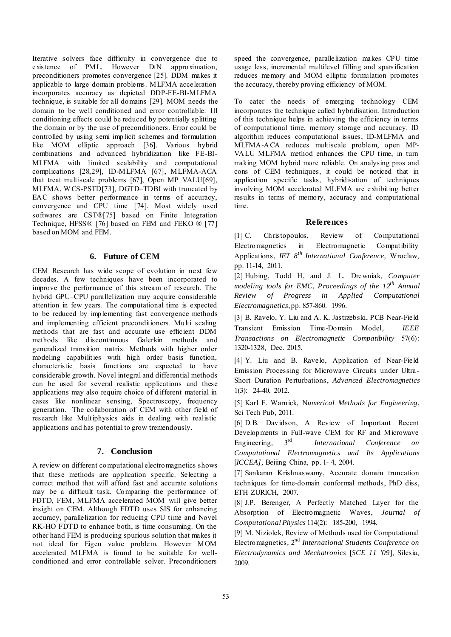Iterative solvers face difficulty in convergence due to existence of PML. However DtN approximation, preconditioners promotes convergence [25]. DDM makes it applicable to large domain problems. MLFMA acceleration incorporates accuracy as depicted DDP-FE-BI-MLFMA technique, is suitable for all domains [29]. MOM needs the domain to be well conditioned and error controllable. Ill conditioning effects could be reduced by potentially splitting the domain or by the use of preconditioners. Error could be controlled by using semi implicit schemes and formulation like MOM elliptic approach [36]. Various hybrid combinations and advanced hybridization like FE-BI-MLFMA with limited scalability and computational complications [28,29], ID-MLFMA [67], MLFMA-ACA that treat multiscale problems [67], Open MP VALU[69], MLFMA, W CS-PSTD[73], DGTD–TDBI with truncated by EAC shows better performance in terms of accuracy, convergence and CPU time [74]. Most widely used softwares are CST®[75] based on Finite Integration Technique, HFSS® [76] based on FEM and FEKO ® [77] based on MOM and FEM.

### **6. Future of CEM**

CEM Research has wide scope of evolution in next few decades. A few techniques have been incorporated to improve the performance of this stream of research. The hybrid GPU–CPU parallelization may acquire considerable attention in few years. The computational time is expected to be reduced by implementing fast convergence methods and implementing efficient preconditioners. Multi scaling methods that are fast and accurate use efficient DDM methods like discontinuous Galerkin methods and generalized transition matrix. Methods with higher order modeling capabilities with high order basis function, characteristic basis functions are expected to have considerable growth. Novel integral and differential methods can be used for several realistic applications and these applications may also require choice of d ifferent material in cases like nonlinear sensing, Spectroscopy, frequency generation. The collaboration of CEM with other field of research like Multiphysics aids in dealing with realistic applications and has potential to grow tremendously.

# **7. Conclusion**

A review on different computational electromagnetics shows that these methods are application specific. Selecting a correct method that will afford fast and accurate solutions may be a difficult task. Comparing the performance of FDTD, FEM, MLFMA accelerated MOM will give better insight on CEM. Although FDTD uses SIS for enhancing accuracy, parallelization for reducing CPU time and Novel RK-HO FDTD to enhance both, is time consuming. On the other hand FEM is producing spurious solution that makes it not ideal for Eigen value problem. However MOM accelerated MLFMA is found to be suitable for wellconditioned and error controllable solver. Preconditioners

speed the convergence, parallelization makes CPU time usage less, incremental multilevel filling and spars ification reduces memory and MOM elliptic formulation promotes the accuracy, thereby proving efficiency of MOM.

To cater the needs of emerging technology CEM incorporates the technique called hybridisation. Introduction of this technique helps in achieving the efficiency in terms of computational time, memory storage and accuracy. ID algorithm reduces computational issues, ID-MLFMA and MLFMA-ACA reduces multiscale problem, open MP-VALU MLFMA method enhances the CPU time, in turn making MOM hybrid more reliable. On analysing pros and cons of CEM techniques, it could be noticed that in application specific tasks, hybridisation of techniques involving MOM accelerated MLFMA are exhibiting better results in terms of memory, accuracy and computational time.

# **References**

[1] C. Christopoulos, Review of Computational Electromagnetics in Electromagnetic Compatibility Applications, *IET 8th International Conference,* Wroclaw, pp. 11-14, 2011.

[2] Hubing, Todd H, and J. L. Drewniak, *Computer modeling tools for EMC, Proceedings of the 12th Annual Review of Progress in Applied Computational Electromagnetics*, pp. 857-860. 1996.

[3] B. Ravelo, Y. Liu and A. K. Jastrzebski, PCB Near-Field Transient Emission Time-Domain Model, *IEEE Transactions on Electromagnetic Compatibility* 57(6): 1320-1328, Dec. 2015.

[4] Y. Liu and B. Ravelo, Application of Near-Field Emission Processing for Microwave Circuits under Ultra-Short Duration Perturbations, *Advanced Electromagnetics*  1(3): 24-40, 2012.

[5] Karl F. Warnick, N*umerical Methods for Engineering*, Sci Tech Pub, 2011.

[6] D.B. Davidson, A Review of Important Recent Developments in Full-wave CEM for RF and Microwave Engineering*,* 3rd *International Conference on Computational Electromagnetics and Its Applications* [*ICCEA*], Beijing China, pp. 1-4, 2004.

[7] Sankaran Krishnaswamy, Accurate domain truncation techniques for time-domain conformal methods, PhD diss, ETH ZURICH, 2007.

[8] J.P. Berenger, A Perfectly Matched Layer for the Absorption of Electromagnetic Waves, *Journal of Computational Physics* 114(2): 185-200, 1994.

[9] M. Niziolek, Review of Methods used for Computational Electromagnetics*,* 2nd *International Students Conference on Electrodynamics and Mechatronics* [*[SCE 11 '09](http://ieeexplore.ieee.org/xpl/mostRecentIssue.jsp?punumber=5129035)*], Silesia, 2009.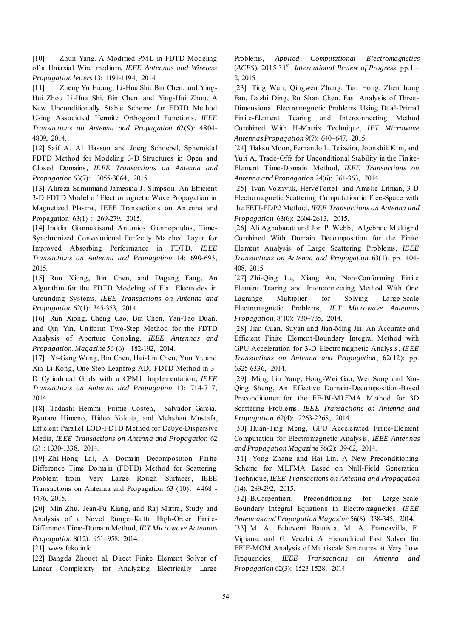[10] Zhun Yang, A Modified PML in FDTD Modeling of a Uniaxial Wire medium, *IEEE Antennas and Wireless Propagation letters* 13: 1191-1194, 2014.

[11] Zheng Yu Huang, Li-Hua Shi, Bin Chen, and Ying-Hui Zhou Li-Hua Shi, Bin Chen, and Ying-Hui Zhou, A New Unconditionally Stable Scheme for FDTD Method Using Associated Hermite Orthogonal Functions, *IEEE Transactions on Antenna and Propagation* 62(9): 4804- 4809, 2014.

[12] Saif A. Al Hasson and Joerg Schoebel, Spheroidal FDTD Method for Modeling 3-D Structures in Open and Closed Domains*, IEEE Transactions on Antenna and Propagation* 63(7): 3055-3064, 2015.

[13] Alireza Samimiand Jamesina J. Simpson, An Efficient 3-D FDTD Model of Electromagnetic Wave Propagation in Magnetized Plasma, IEEE Transactions on Antenna and Propagation 63(1) : 269-279, 2015.

[14] Iraklis Giannakisand Antonios Giannopoulos, Time-Synchronized Convolutional Perfectly Matched Layer for Improved Absorbing Performance in FDTD, *IEEE Transactions on Antenna and Propagation* 14: 690-693, 2015.

[15] Run Xiong, Bin Chen, and Dagang Fang, An Algorithm for the FDTD Modeling of Flat Electrodes in Grounding Systems*, IEEE Transactions on Antenna and Propagation* 62(1): 345-353, 2014.

[16] Run Xiong, Cheng Gao, Bin Chen, Yan-Tao Duan, and Qin Yin, Uniform Two-Step Method for the FDTD Analysis of Aperture Coupling*, IEEE Antennas and Propagation. Magazine* 56 (6): 182-192, 2014.

[17] Yi-Gang Wang, Bin Chen, Hai-Lin Chen, Yun Yi, and Xin-Li Kong, One-Step Leapfrog ADI-FDTD Method in 3- D Cylindrical Grids with a CPML Implementation*, IEEE Transactions on Antenna and Propagation* 13: 714-717, 2014.

[18] Tadashi Hemmi, Fumie Costen, Salvador Garcia, Ryutaro Himeno, Hideo Yokota, and Mehshan Mustafa, Efficient Parallel LOD-FDTD Method for Debye-Dispersive Media*, IEEE Transactions on Antenna and Propagation* 62 (3) : 1330-1338, 2014.

[19] Zhi-Hong Lai, A Domain Decomposition Finite Difference Time Domain (FDTD) Method for Scattering Problem from Very Large Rough Surfaces*,* IEEE Transactions on Antenna and Propagation 63 (10): 4468 - 4476, 2015.

[20] Min Zhu, Jean-Fu Kiang, and Raj Mittra, Study and Analysis of a Novel Runge–Kutta High-Order Finite-Difference Time-Domain Method*, IET Microwave Antennas Propagation* 8(12): 951–958, 2014.

[21] www.feko.info

[22] Bangda Zhouet al, Direct Finite Element Solver of Linear Complexity for Analyzing Electrically Large Problems*, Applied Computational Electromagnetics* (*ACES*), 2015 31st *International Review of Progress*, pp.1 – 2, 2015.

[23] Ting Wan, Qingwen Zhang, Tao Hong, Zhen hong Fan, Dazhi Ding, Ru Shan Chen, Fast Analysis of Three-Dimensional Electromagnetic Problems Using Dual-Primal Finite-Element Tearing and Interconnecting Method Combined W ith H-Matrix Technique, *IET Microwave Antennas Propagation* 9(7): 640–647, 2015.

[24] Haksu Moon, Fernando L. Teixeira, Joonshik Kim, and Yuri A, Trade-Offs for Unconditional Stability in the Finite-Element Time-Domain Method*, IEEE Transactions on Antenna and Propagation* 24(6): 361-363, 2014.

[25] Ivan Voznyuk, HerveTortel and Amelie Litman, 3-D Electromagnetic Scattering Computation in Free-Space with the FETI-FDP2 Method*, IEEE Transactions on Antenna and Propagation* 63(6): 2604-2613, 2015.

[26] Ali Aghabarati and Jon P. Webb, Algebraic Multigrid Combined With Domain Decomposition for the Finite Element Analysis of Large Scattering Problems*, IEEE Transactions on Antenna and Propagation* 63(1): pp. 404- 408, 2015.

[27] Zhi-Qing Lu, Xiang An*,* Non-Conforming Finite Element Tearing and Interconnecting Method With One Lagrange Multiplier for Solving Large-Scale Electromagnetic Problems*, IET Microwave Antennas Propagation*, 8(10): 730–735, 2014.

[28] Jian Guan, Suyan and Jian-Ming Jin, An Accurate and Efficient Finite Element-Boundary Integral Method with GPU Acceleration for 3-D Electromagnetic Analysis, *IEEE Transactions on Antenna and Propagation*, 62(12): pp. 6325-6336, 2014.

[29] Ming Lin Yang, Hong-Wei Gao, Wei Song and Xin-Qing Sheng, An Effective Domain-Decomposition-Based Preconditioner for the FE-BI-MLFMA Method for 3D Scattering Problems*, IEEE Transactions on Antenna and Propagation* 62(4): 2263-2268, 2014.

[30] Huan-Ting Meng, GPU Accelerated Finite-Element Computation for Electromagnetic Analysis*, IEEE Antennas and Propagation Magazine* 56(2): 39-62, 2014.

[31] Yong Zhang and Hai Lin, [A New Preconditioning](http://ieeexplore.ieee.org/xpl/articleDetails.jsp?arnumber=6924708&queryText=computational%20electromagnetics%20method%20of%20moments%20antenna&refinements=4291944246&ranges=2014_2015_Year&pageNumber=2&searchField=Search_All)  [Scheme for MLFMA Based on Null-Field Generation](http://ieeexplore.ieee.org/xpl/articleDetails.jsp?arnumber=6924708&queryText=computational%20electromagnetics%20method%20of%20moments%20antenna&refinements=4291944246&ranges=2014_2015_Year&pageNumber=2&searchField=Search_All)  [Technique](http://ieeexplore.ieee.org/xpl/articleDetails.jsp?arnumber=6924708&queryText=computational%20electromagnetics%20method%20of%20moments%20antenna&refinements=4291944246&ranges=2014_2015_Year&pageNumber=2&searchField=Search_All)*, IEEE Transactions on Antenna and Propagation* (14): 289-292, 2015.

[32] B.Carpentieri, Preconditioning for Large-Scale Boundary Integral Equations in Electromagnetics*, IEEE Antennas and Propagation Magazine* 56(6): 338-345, 2014.

[33] M. A. Echeverri Bautista, M. A. Francavilla, F. Vipiana, and G. Vecchi, [A Hierarchical Fast Solver for](http://ieeexplore.ieee.org/xpl/articleDetails.jsp?arnumber=6693702&queryText=computational%20electromagnetics%20method%20of%20moments%20antenna&refinements=4291944246&ranges=2014_2015_Year&searchField=Search_All)  [EFIE-MOM Analysis of Multiscale Structures at Very Low](http://ieeexplore.ieee.org/xpl/articleDetails.jsp?arnumber=6693702&queryText=computational%20electromagnetics%20method%20of%20moments%20antenna&refinements=4291944246&ranges=2014_2015_Year&searchField=Search_All)  [Frequencies](http://ieeexplore.ieee.org/xpl/articleDetails.jsp?arnumber=6693702&queryText=computational%20electromagnetics%20method%20of%20moments%20antenna&refinements=4291944246&ranges=2014_2015_Year&searchField=Search_All)*, IEEE Transactions on Antenna and Propagation* 62(3): 1523-1528, 2014.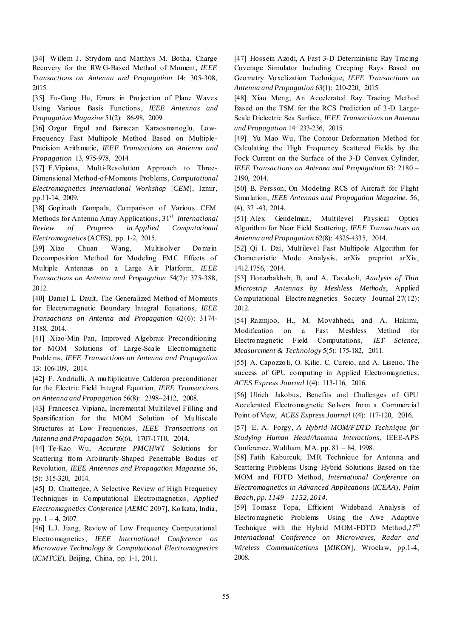[34] Willem J. Strydom and Matthys M. Botha, Charge Recovery for the RW G-Based Method of Moment*, IEEE Transactions on Antenna and Propagation* 14: 305-308, 2015.

[35] Fu-Gang Hu, Errors in Projection of Plane Waves Using Various Basis Functions, *IEEE Antennas and Propagation Magazine* 51(2): 86-98, 2009.

[36] Ozgur Ergul and Barıscan Karaosmanoglu, Low-Frequency Fast Multipole Method Based on Multiple-Precision Arithmetic*, IEEE Transactions on Antenna and Propagation* 13, 975-978, 2014

[37] F.Vipiana, Multi-Resolution Approach to Three-Dimensional Method-of-Moments Problems, *Computational Electromagnetics International Workshop* [*CEM*], Izmir, pp.11-14, 2009.

[38] Gopinath Gampala, Comparison of Various CEM Methods for Antenna Array Applications, 31<sup>st</sup> International *Review of Progress in Applied Computational Electromagnetics* (ACES), pp. 1-2, 2015.

[39] Xiao Chuan Wang, Multisolver Domain Decomposition Method for Modeling EMC Effects of Multiple Antennas on a Large Air Platform, *IEEE Transactions on Antenna and Propagation* 54(2): 375-388, 2012.

[40] Daniel L. Dault, The Generalized Method of Moments for Electromagnetic Boundary Integral Equations*, IEEE Transactions on Antenna and Propagation* 62(6): 3174- 3188, 2014.

[41] Xiao-Min Pan, Improved Algebraic Preconditioning for MOM Solutions of Large-Scale Electromagnetic Problems, *IEEE Transactions on Antenna and Propagation* 13: 106-109, 2014.

[42] F. Andriulli, A multiplicative Calderon preconditioner for the Electric Field Integral Equation*, IEEE Transactions on Antenna and Propagation* 56(8): 2398–2412, 2008.

[43] Francesca Vipiana, Incremental Multilevel Filling and Sparsification for the MOM Solution of Multiscale Structures at Low Frequencies, *IEEE Transactions on Antenna and Propagation* 56(6), 1707-1710, 2014.

[44] Te-Kao Wu, *Accurate PMCHWT* Solutions for Scattering from Arbitrarily-Shaped Penetrable Bodies of Revolution*, IEEE Antennas and Propagation Magazine* 56, (5): 315-320, 2014.

[45] D. Chatterjee, A Selective Review of High Frequency Techniques in Computational Electromagnetics*, Applied Electromagnetics Conference* [*AEMC* 2007], Kolkata, India, pp. 1 – 4, 2007.

[46] L.J. Jiang, Review of Low Frequency Computational Electromagnetics, *IEEE International Conference on Microwave Technology & Computational Electromagnetics* (*ICMTCE*), Beijing, China, pp. 1-1, 2011.

[47] Hossein Azodi, A Fast 3-D Deterministic Ray Tracing Coverage Simulator Including Creeping Rays Based on Geometry Voxelization Technique*, IEEE Transactions on Antenna and Propagation* 63(1): 210-220, 2015.

[48] Xiao Meng, An Accelerated Ray Tracing Method Based on the TSM for the RCS Prediction of 3-D Large-Scale Dielectric Sea Surface*, IEEE Transactions on Antenna and Propagation* 14: 233-236, 2015.

[49] Yu Mao Wu, The Contour Deformation Method for Calculating the High Frequency Scattered Fields by the Fock Current on the Surface of the 3-D Convex Cylinder*, IEEE Transactions on Antenna and Propagation* 63: 2180 – 2190, 2014.

[50] B. Persson, On Modeling RCS of Aircraft for Flight Simulation, *IEEE Antennas and Propagation Magazine*, 56, (4), 37 -43, 2014.

[51] Alex Gendelman, Multilevel Physical Optics Algorithm for Near Field Scattering, *IEEE Transactions on Antenna and Propagation* 62(8): 4325-4335, 2014.

[52] Qi I. Dai, Multilevel Fast Multipole Algorithm for Characteristic Mode Analysis, arXiv preprint arXiv, 1412.1756, 2014.

[53] Honarbakhsh, B, and A. Tavakoli, *Analysis of Thin Microstrip Antennas by Meshless Methods*, Applied Computational Electromagnetics Society Journal 27(12): 2012.

[54] Razmjoo, H., M. Movahhedi, and A. Hakimi, Modification on a Fast Meshless Method for Electromagnetic Field Computations*, IET Science, Measurement & Technology* 5(5): 175-182, 2011.

[55] A. Capozzoli, O. Kilic, C. Curcio, and A. Liseno, The success of GPU computing in Applied Electromagnetics , *ACES Express Journal* 1(4): 113-116, 2016.

[56] Ulrich Jakobus, Benefits and Challenges of GPU Accelerated Electromagnetic Solvers from a Commercial Point of View, *ACES Express Journal* 1(4): 117-120, 2016.

[57] E. A. Forgy, *A Hybrid MOM/FDTD Technique for Studying Human Head/Antenna Interactions*, IEEE-APS Conference, Waltham, MA, pp. 81 – 84, 1998.

[58] Fatih Kaburcuk, IMR Technique for Antenna and Scattering Problems Using Hybrid Solutions Based on the MOM and FDTD Method, *International Conference on [Electromagnetics in Advanced Applications](http://ieeexplore.ieee.org/xpl/mostRecentIssue.jsp?punumber=6895211)* (*ICEAA*)*, Palm [Beach, pp. 1149 – 1152, 2014](http://ieeexplore.ieee.org/xpl/mostRecentIssue.jsp?punumber=6895211)*.

[59] Tomasz Topa, Efficient Wideband Analysis of Electromagnetic Problems Using the Awe Adaptive Technique with the Hybrid MOM-FDTD Method, $I7^{th}$ *International Conference on Microwaves, Radar and Wireless Communications* [*MIKON*], Wroclaw, pp.1-4, 2008.